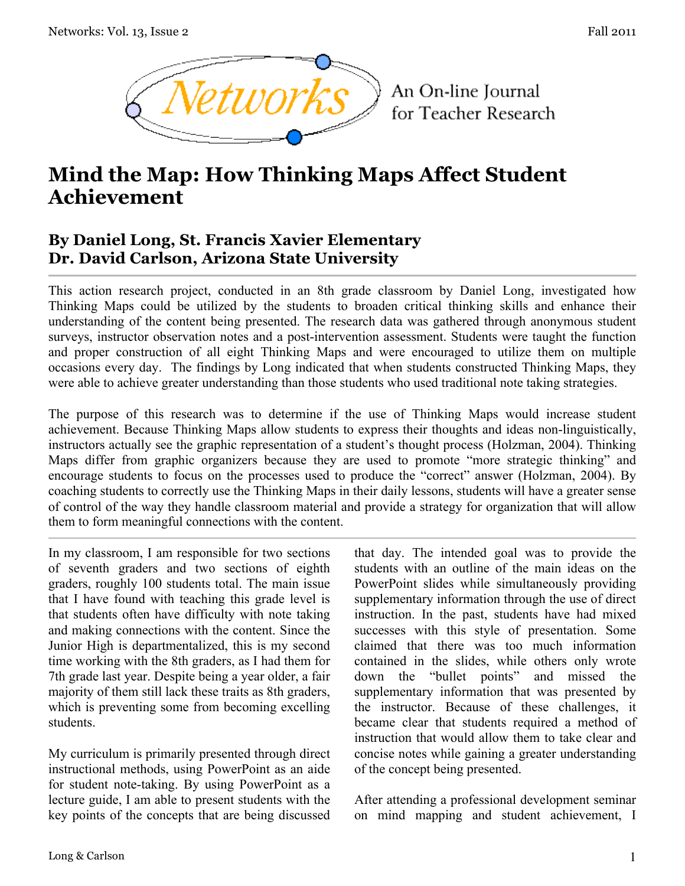

An On-line Journal for Teacher Research

# **Mind the Map: How Thinking Maps Affect Student Achievement**

### **By Daniel Long, St. Francis Xavier Elementary Dr. David Carlson, Arizona State University**

This action research project, conducted in an 8th grade classroom by Daniel Long, investigated how Thinking Maps could be utilized by the students to broaden critical thinking skills and enhance their understanding of the content being presented. The research data was gathered through anonymous student surveys, instructor observation notes and a post-intervention assessment. Students were taught the function and proper construction of all eight Thinking Maps and were encouraged to utilize them on multiple occasions every day. The findings by Long indicated that when students constructed Thinking Maps, they were able to achieve greater understanding than those students who used traditional note taking strategies.

The purpose of this research was to determine if the use of Thinking Maps would increase student achievement. Because Thinking Maps allow students to express their thoughts and ideas non-linguistically, instructors actually see the graphic representation of a student's thought process (Holzman, 2004). Thinking Maps differ from graphic organizers because they are used to promote "more strategic thinking" and encourage students to focus on the processes used to produce the "correct" answer (Holzman, 2004). By coaching students to correctly use the Thinking Maps in their daily lessons, students will have a greater sense of control of the way they handle classroom material and provide a strategy for organization that will allow them to form meaningful connections with the content.

In my classroom, I am responsible for two sections of seventh graders and two sections of eighth graders, roughly 100 students total. The main issue that I have found with teaching this grade level is that students often have difficulty with note taking and making connections with the content. Since the Junior High is departmentalized, this is my second time working with the 8th graders, as I had them for 7th grade last year. Despite being a year older, a fair majority of them still lack these traits as 8th graders, which is preventing some from becoming excelling students.

My curriculum is primarily presented through direct instructional methods, using PowerPoint as an aide for student note-taking. By using PowerPoint as a lecture guide, I am able to present students with the key points of the concepts that are being discussed that day. The intended goal was to provide the students with an outline of the main ideas on the PowerPoint slides while simultaneously providing supplementary information through the use of direct instruction. In the past, students have had mixed successes with this style of presentation. Some claimed that there was too much information contained in the slides, while others only wrote down the "bullet points" and missed the supplementary information that was presented by the instructor. Because of these challenges, it became clear that students required a method of instruction that would allow them to take clear and concise notes while gaining a greater understanding of the concept being presented.

After attending a professional development seminar on mind mapping and student achievement, I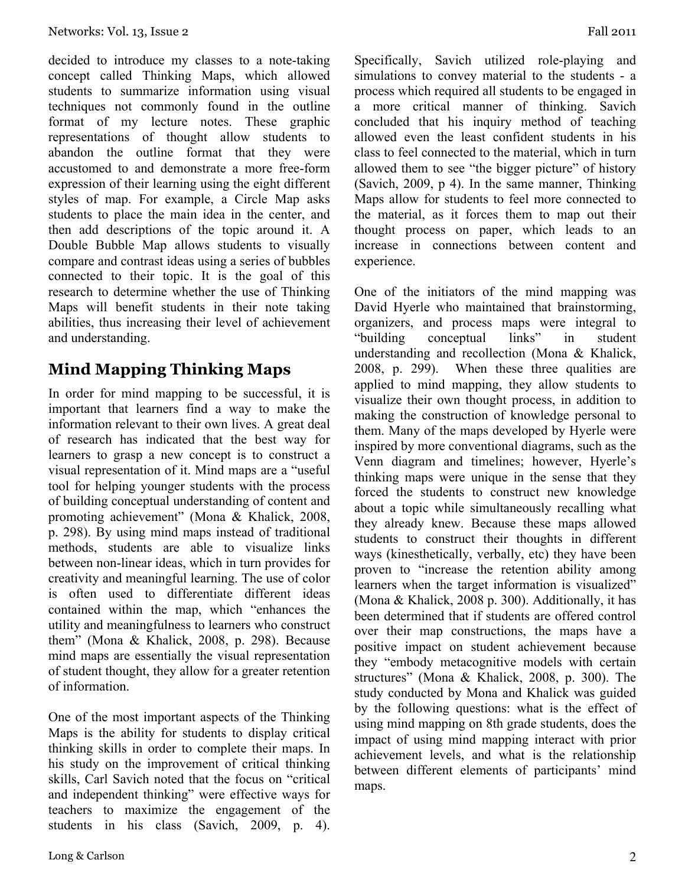decided to introduce my classes to a note-taking concept called Thinking Maps, which allowed students to summarize information using visual techniques not commonly found in the outline format of my lecture notes. These graphic representations of thought allow students to abandon the outline format that they were accustomed to and demonstrate a more free-form expression of their learning using the eight different styles of map. For example, a Circle Map asks students to place the main idea in the center, and then add descriptions of the topic around it. A Double Bubble Map allows students to visually compare and contrast ideas using a series of bubbles connected to their topic. It is the goal of this research to determine whether the use of Thinking Maps will benefit students in their note taking abilities, thus increasing their level of achievement and understanding.

# **Mind Mapping Thinking Maps**

In order for mind mapping to be successful, it is important that learners find a way to make the information relevant to their own lives. A great deal of research has indicated that the best way for learners to grasp a new concept is to construct a visual representation of it. Mind maps are a "useful tool for helping younger students with the process of building conceptual understanding of content and promoting achievement" (Mona & Khalick, 2008, p. 298). By using mind maps instead of traditional methods, students are able to visualize links between non-linear ideas, which in turn provides for creativity and meaningful learning. The use of color is often used to differentiate different ideas contained within the map, which "enhances the utility and meaningfulness to learners who construct them" (Mona & Khalick, 2008, p. 298). Because mind maps are essentially the visual representation of student thought, they allow for a greater retention of information.

One of the most important aspects of the Thinking Maps is the ability for students to display critical thinking skills in order to complete their maps. In his study on the improvement of critical thinking skills, Carl Savich noted that the focus on "critical and independent thinking" were effective ways for teachers to maximize the engagement of the students in his class (Savich, 2009, p. 4). Specifically, Savich utilized role-playing and simulations to convey material to the students - a process which required all students to be engaged in a more critical manner of thinking. Savich concluded that his inquiry method of teaching allowed even the least confident students in his class to feel connected to the material, which in turn allowed them to see "the bigger picture" of history (Savich, 2009, p 4). In the same manner, Thinking Maps allow for students to feel more connected to the material, as it forces them to map out their thought process on paper, which leads to an increase in connections between content and experience.

One of the initiators of the mind mapping was David Hyerle who maintained that brainstorming, organizers, and process maps were integral to "building conceptual links" in student understanding and recollection (Mona & Khalick, 2008, p. 299). When these three qualities are applied to mind mapping, they allow students to visualize their own thought process, in addition to making the construction of knowledge personal to them. Many of the maps developed by Hyerle were inspired by more conventional diagrams, such as the Venn diagram and timelines; however, Hyerle's thinking maps were unique in the sense that they forced the students to construct new knowledge about a topic while simultaneously recalling what they already knew. Because these maps allowed students to construct their thoughts in different ways (kinesthetically, verbally, etc) they have been proven to "increase the retention ability among learners when the target information is visualized" (Mona & Khalick, 2008 p. 300). Additionally, it has been determined that if students are offered control over their map constructions, the maps have a positive impact on student achievement because they "embody metacognitive models with certain structures" (Mona & Khalick, 2008, p. 300). The study conducted by Mona and Khalick was guided by the following questions: what is the effect of using mind mapping on 8th grade students, does the impact of using mind mapping interact with prior achievement levels, and what is the relationship between different elements of participants' mind maps.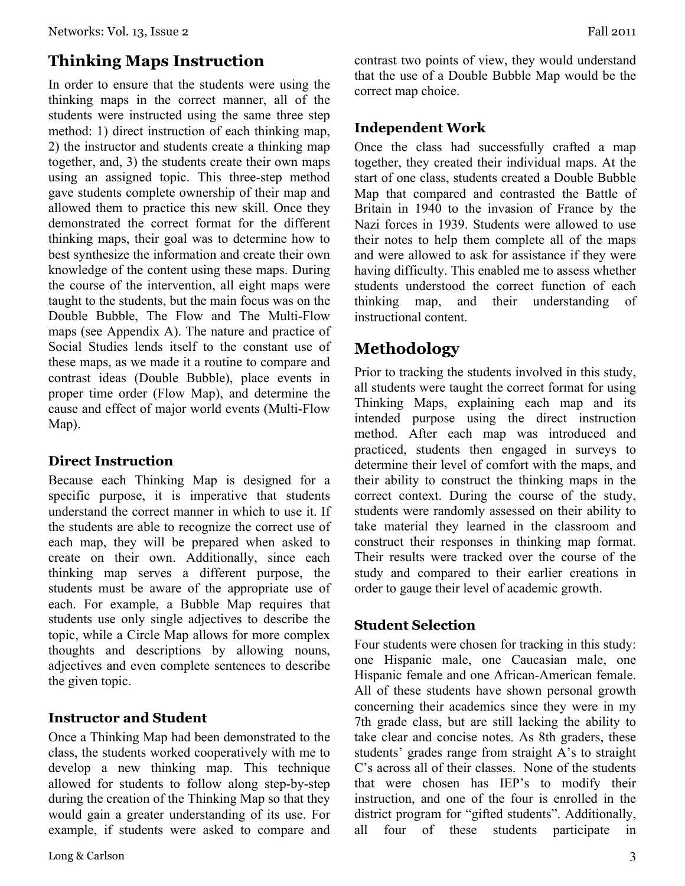### **Thinking Maps Instruction**

In order to ensure that the students were using the thinking maps in the correct manner, all of the students were instructed using the same three step method: 1) direct instruction of each thinking map, 2) the instructor and students create a thinking map together, and, 3) the students create their own maps using an assigned topic. This three-step method gave students complete ownership of their map and allowed them to practice this new skill. Once they demonstrated the correct format for the different thinking maps, their goal was to determine how to best synthesize the information and create their own knowledge of the content using these maps. During the course of the intervention, all eight maps were taught to the students, but the main focus was on the Double Bubble, The Flow and The Multi-Flow maps (see Appendix A). The nature and practice of Social Studies lends itself to the constant use of these maps, as we made it a routine to compare and contrast ideas (Double Bubble), place events in proper time order (Flow Map), and determine the cause and effect of major world events (Multi-Flow Map).

#### **Direct Instruction**

Because each Thinking Map is designed for a specific purpose, it is imperative that students understand the correct manner in which to use it. If the students are able to recognize the correct use of each map, they will be prepared when asked to create on their own. Additionally, since each thinking map serves a different purpose, the students must be aware of the appropriate use of each. For example, a Bubble Map requires that students use only single adjectives to describe the topic, while a Circle Map allows for more complex thoughts and descriptions by allowing nouns, adjectives and even complete sentences to describe the given topic.

#### **Instructor and Student**

Once a Thinking Map had been demonstrated to the class, the students worked cooperatively with me to develop a new thinking map. This technique allowed for students to follow along step-by-step during the creation of the Thinking Map so that they would gain a greater understanding of its use. For example, if students were asked to compare and contrast two points of view, they would understand that the use of a Double Bubble Map would be the correct map choice.

#### **Independent Work**

Once the class had successfully crafted a map together, they created their individual maps. At the start of one class, students created a Double Bubble Map that compared and contrasted the Battle of Britain in 1940 to the invasion of France by the Nazi forces in 1939. Students were allowed to use their notes to help them complete all of the maps and were allowed to ask for assistance if they were having difficulty. This enabled me to assess whether students understood the correct function of each thinking map, and their understanding of instructional content.

### **Methodology**

Prior to tracking the students involved in this study, all students were taught the correct format for using Thinking Maps, explaining each map and its intended purpose using the direct instruction method. After each map was introduced and practiced, students then engaged in surveys to determine their level of comfort with the maps, and their ability to construct the thinking maps in the correct context. During the course of the study, students were randomly assessed on their ability to take material they learned in the classroom and construct their responses in thinking map format. Their results were tracked over the course of the study and compared to their earlier creations in order to gauge their level of academic growth.

#### **Student Selection**

Four students were chosen for tracking in this study: one Hispanic male, one Caucasian male, one Hispanic female and one African-American female. All of these students have shown personal growth concerning their academics since they were in my 7th grade class, but are still lacking the ability to take clear and concise notes. As 8th graders, these students' grades range from straight A's to straight C's across all of their classes. None of the students that were chosen has IEP's to modify their instruction, and one of the four is enrolled in the district program for "gifted students". Additionally, all four of these students participate in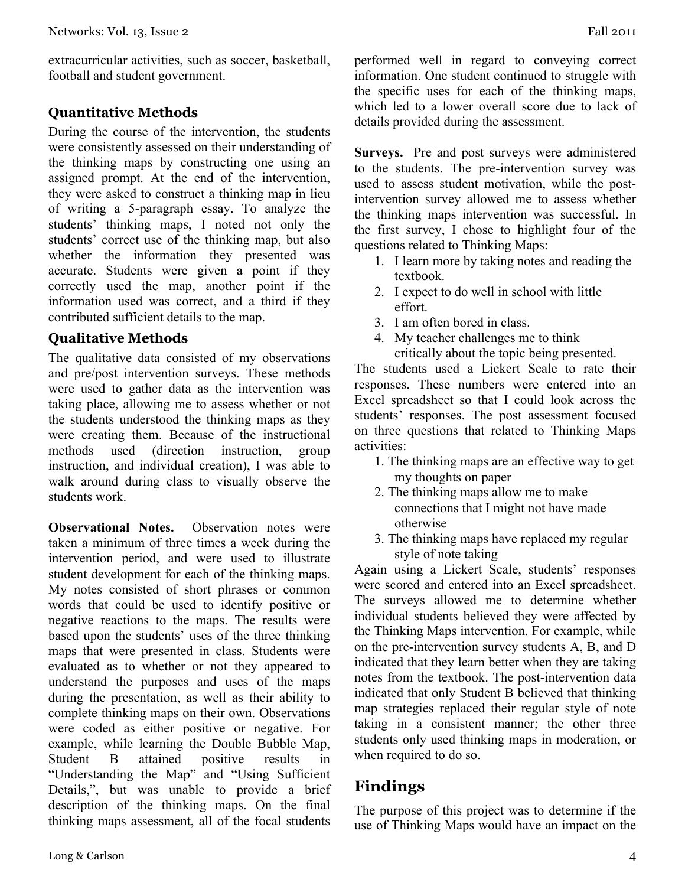extracurricular activities, such as soccer, basketball, football and student government.

### **Quantitative Methods**

During the course of the intervention, the students were consistently assessed on their understanding of the thinking maps by constructing one using an assigned prompt. At the end of the intervention, they were asked to construct a thinking map in lieu of writing a 5-paragraph essay. To analyze the students' thinking maps, I noted not only the students' correct use of the thinking map, but also whether the information they presented was accurate. Students were given a point if they correctly used the map, another point if the information used was correct, and a third if they contributed sufficient details to the map.

### **Qualitative Methods**

The qualitative data consisted of my observations and pre/post intervention surveys. These methods were used to gather data as the intervention was taking place, allowing me to assess whether or not the students understood the thinking maps as they were creating them. Because of the instructional methods used (direction instruction, group instruction, and individual creation), I was able to walk around during class to visually observe the students work.

**Observational Notes.** Observation notes were taken a minimum of three times a week during the intervention period, and were used to illustrate student development for each of the thinking maps. My notes consisted of short phrases or common words that could be used to identify positive or negative reactions to the maps. The results were based upon the students' uses of the three thinking maps that were presented in class. Students were evaluated as to whether or not they appeared to understand the purposes and uses of the maps during the presentation, as well as their ability to complete thinking maps on their own. Observations were coded as either positive or negative. For example, while learning the Double Bubble Map, Student B attained positive results in "Understanding the Map" and "Using Sufficient Details,", but was unable to provide a brief description of the thinking maps. On the final thinking maps assessment, all of the focal students

**Surveys.** Pre and post surveys were administered to the students. The pre-intervention survey was used to assess student motivation, while the postintervention survey allowed me to assess whether the thinking maps intervention was successful. In the first survey, I chose to highlight four of the questions related to Thinking Maps:

- 1. I learn more by taking notes and reading the textbook.
- 2. I expect to do well in school with little effort.
- 3. I am often bored in class.
- 4. My teacher challenges me to think critically about the topic being presented.

The students used a Lickert Scale to rate their responses. These numbers were entered into an Excel spreadsheet so that I could look across the students' responses. The post assessment focused on three questions that related to Thinking Maps activities:

- 1. The thinking maps are an effective way to get my thoughts on paper
- 2. The thinking maps allow me to make connections that I might not have made otherwise
- 3. The thinking maps have replaced my regular style of note taking

Again using a Lickert Scale, students' responses were scored and entered into an Excel spreadsheet. The surveys allowed me to determine whether individual students believed they were affected by the Thinking Maps intervention. For example, while on the pre-intervention survey students A, B, and D indicated that they learn better when they are taking notes from the textbook. The post-intervention data indicated that only Student B believed that thinking map strategies replaced their regular style of note taking in a consistent manner; the other three students only used thinking maps in moderation, or when required to do so.

# **Findings**

The purpose of this project was to determine if the use of Thinking Maps would have an impact on the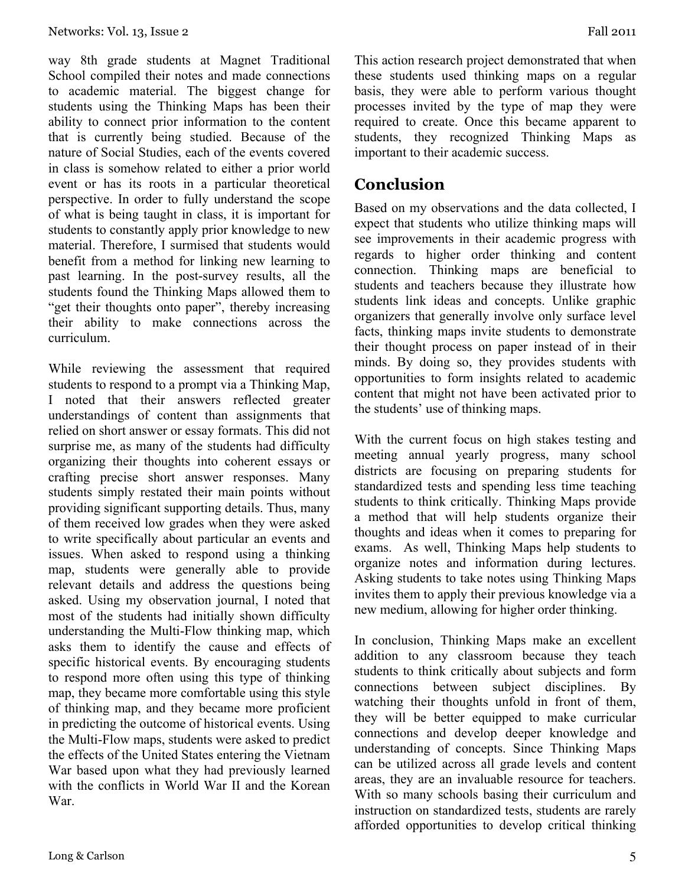way 8th grade students at Magnet Traditional School compiled their notes and made connections to academic material. The biggest change for students using the Thinking Maps has been their ability to connect prior information to the content that is currently being studied. Because of the nature of Social Studies, each of the events covered in class is somehow related to either a prior world event or has its roots in a particular theoretical perspective. In order to fully understand the scope of what is being taught in class, it is important for students to constantly apply prior knowledge to new material. Therefore, I surmised that students would benefit from a method for linking new learning to past learning. In the post-survey results, all the students found the Thinking Maps allowed them to "get their thoughts onto paper", thereby increasing their ability to make connections across the curriculum.

While reviewing the assessment that required students to respond to a prompt via a Thinking Map, I noted that their answers reflected greater understandings of content than assignments that relied on short answer or essay formats. This did not surprise me, as many of the students had difficulty organizing their thoughts into coherent essays or crafting precise short answer responses. Many students simply restated their main points without providing significant supporting details. Thus, many of them received low grades when they were asked to write specifically about particular an events and issues. When asked to respond using a thinking map, students were generally able to provide relevant details and address the questions being asked. Using my observation journal, I noted that most of the students had initially shown difficulty understanding the Multi-Flow thinking map, which asks them to identify the cause and effects of specific historical events. By encouraging students to respond more often using this type of thinking map, they became more comfortable using this style of thinking map, and they became more proficient in predicting the outcome of historical events. Using the Multi-Flow maps, students were asked to predict the effects of the United States entering the Vietnam War based upon what they had previously learned with the conflicts in World War II and the Korean War.

This action research project demonstrated that when these students used thinking maps on a regular basis, they were able to perform various thought processes invited by the type of map they were required to create. Once this became apparent to students, they recognized Thinking Maps as important to their academic success.

### **Conclusion**

Based on my observations and the data collected, I expect that students who utilize thinking maps will see improvements in their academic progress with regards to higher order thinking and content connection. Thinking maps are beneficial to students and teachers because they illustrate how students link ideas and concepts. Unlike graphic organizers that generally involve only surface level facts, thinking maps invite students to demonstrate their thought process on paper instead of in their minds. By doing so, they provides students with opportunities to form insights related to academic content that might not have been activated prior to the students' use of thinking maps.

With the current focus on high stakes testing and meeting annual yearly progress, many school districts are focusing on preparing students for standardized tests and spending less time teaching students to think critically. Thinking Maps provide a method that will help students organize their thoughts and ideas when it comes to preparing for exams. As well, Thinking Maps help students to organize notes and information during lectures. Asking students to take notes using Thinking Maps invites them to apply their previous knowledge via a new medium, allowing for higher order thinking.

In conclusion, Thinking Maps make an excellent addition to any classroom because they teach students to think critically about subjects and form connections between subject disciplines. By watching their thoughts unfold in front of them, they will be better equipped to make curricular connections and develop deeper knowledge and understanding of concepts. Since Thinking Maps can be utilized across all grade levels and content areas, they are an invaluable resource for teachers. With so many schools basing their curriculum and instruction on standardized tests, students are rarely afforded opportunities to develop critical thinking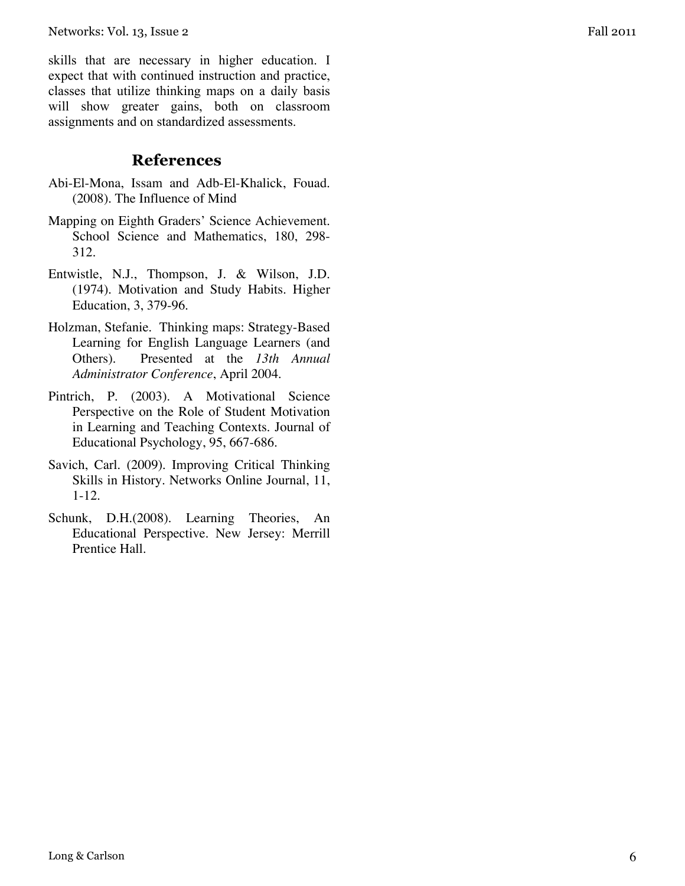skills that are necessary in higher education. I expect that with continued instruction and practice, classes that utilize thinking maps on a daily basis will show greater gains, both on classroom assignments and on standardized assessments.

#### **References**

- Abi-El-Mona, Issam and Adb-El-Khalick, Fouad. (2008). The Influence of Mind
- Mapping on Eighth Graders' Science Achievement. School Science and Mathematics, 180, 298- 312.
- Entwistle, N.J., Thompson, J. & Wilson, J.D. (1974). Motivation and Study Habits. Higher Education, 3, 379-96.
- Holzman, Stefanie. Thinking maps: Strategy-Based Learning for English Language Learners (and Others). Presented at the *13th Annual Administrator Conference*, April 2004.
- Pintrich, P. (2003). A Motivational Science Perspective on the Role of Student Motivation in Learning and Teaching Contexts. Journal of Educational Psychology, 95, 667-686.
- Savich, Carl. (2009). Improving Critical Thinking Skills in History. Networks Online Journal, 11, 1-12.
- Schunk, D.H.(2008). Learning Theories, An Educational Perspective. New Jersey: Merrill Prentice Hall.